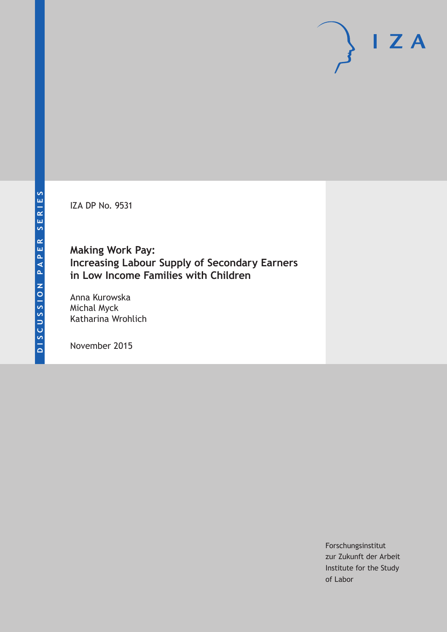IZA DP No. 9531

**Making Work Pay: Increasing Labour Supply of Secondary Earners in Low Income Families with Children**

Anna Kurowska Michal Myck Katharina Wrohlich

November 2015

Forschungsinstitut zur Zukunft der Arbeit Institute for the Study of Labor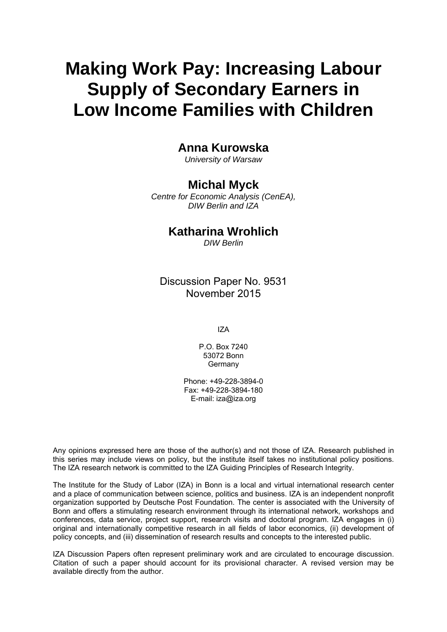# **Making Work Pay: Increasing Labour Supply of Secondary Earners in Low Income Families with Children**

## **Anna Kurowska**

*University of Warsaw* 

### **Michal Myck**

*Centre for Economic Analysis (CenEA), DIW Berlin and IZA* 

### **Katharina Wrohlich**

*DIW Berlin*

Discussion Paper No. 9531 November 2015

IZA

P.O. Box 7240 53072 Bonn Germany

Phone: +49-228-3894-0 Fax: +49-228-3894-180 E-mail: iza@iza.org

Any opinions expressed here are those of the author(s) and not those of IZA. Research published in this series may include views on policy, but the institute itself takes no institutional policy positions. The IZA research network is committed to the IZA Guiding Principles of Research Integrity.

The Institute for the Study of Labor (IZA) in Bonn is a local and virtual international research center and a place of communication between science, politics and business. IZA is an independent nonprofit organization supported by Deutsche Post Foundation. The center is associated with the University of Bonn and offers a stimulating research environment through its international network, workshops and conferences, data service, project support, research visits and doctoral program. IZA engages in (i) original and internationally competitive research in all fields of labor economics, (ii) development of policy concepts, and (iii) dissemination of research results and concepts to the interested public.

IZA Discussion Papers often represent preliminary work and are circulated to encourage discussion. Citation of such a paper should account for its provisional character. A revised version may be available directly from the author.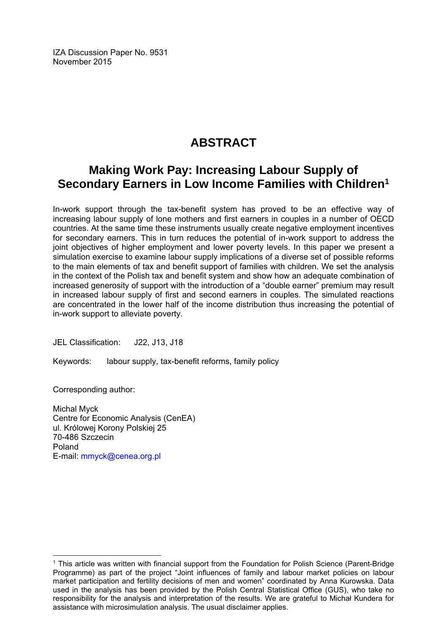IZA Discussion Paper No. 9531 November 2015

## **ABSTRACT**

## **Making Work Pay: Increasing Labour Supply of Secondary Earners in Low Income Families with Children1**

In-work support through the tax-benefit system has proved to be an effective way of increasing labour supply of lone mothers and first earners in couples in a number of OECD countries. At the same time these instruments usually create negative employment incentives for secondary earners. This in turn reduces the potential of in-work support to address the joint objectives of higher employment and lower poverty levels. In this paper we present a simulation exercise to examine labour supply implications of a diverse set of possible reforms to the main elements of tax and benefit support of families with children. We set the analysis in the context of the Polish tax and benefit system and show how an adequate combination of increased generosity of support with the introduction of a "double earner" premium may result in increased labour supply of first and second earners in couples. The simulated reactions are concentrated in the lower half of the income distribution thus increasing the potential of in-work support to alleviate poverty.

JEL Classification: J22, J13, J18

Keywords: labour supply, tax-benefit reforms, family policy

Corresponding author:

 $\overline{a}$ 

Michal Myck Centre for Economic Analysis (CenEA) ul. Królowej Korony Polskiej 25 70-486 Szczecin Poland E-mail: mmyck@cenea.org.pl

<sup>&</sup>lt;sup>1</sup> This article was written with financial support from the Foundation for Polish Science (Parent-Bridge Programme) as part of the project "Joint influences of family and labour market policies on labour market participation and fertility decisions of men and women" coordinated by Anna Kurowska. Data used in the analysis has been provided by the Polish Central Statistical Office (GUS), who take no responsibility for the analysis and interpretation of the results. We are grateful to Michał Kundera for assistance with microsimulation analysis. The usual disclaimer applies.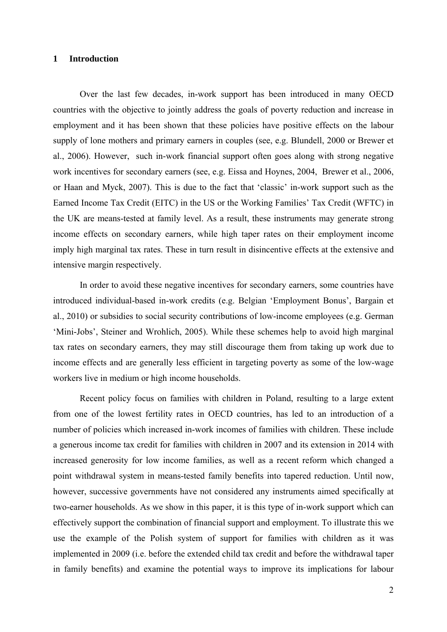#### **1 Introduction**

Over the last few decades, in-work support has been introduced in many OECD countries with the objective to jointly address the goals of poverty reduction and increase in employment and it has been shown that these policies have positive effects on the labour supply of lone mothers and primary earners in couples (see, e.g. Blundell, 2000 or Brewer et al., 2006). However, such in-work financial support often goes along with strong negative work incentives for secondary earners (see, e.g. Eissa and Hoynes, 2004, Brewer et al., 2006, or Haan and Myck, 2007). This is due to the fact that 'classic' in-work support such as the Earned Income Tax Credit (EITC) in the US or the Working Families' Tax Credit (WFTC) in the UK are means-tested at family level. As a result, these instruments may generate strong income effects on secondary earners, while high taper rates on their employment income imply high marginal tax rates. These in turn result in disincentive effects at the extensive and intensive margin respectively.

In order to avoid these negative incentives for secondary earners, some countries have introduced individual-based in-work credits (e.g. Belgian 'Employment Bonus', Bargain et al., 2010) or subsidies to social security contributions of low-income employees (e.g. German 'Mini-Jobs', Steiner and Wrohlich, 2005). While these schemes help to avoid high marginal tax rates on secondary earners, they may still discourage them from taking up work due to income effects and are generally less efficient in targeting poverty as some of the low-wage workers live in medium or high income households.

Recent policy focus on families with children in Poland, resulting to a large extent from one of the lowest fertility rates in OECD countries, has led to an introduction of a number of policies which increased in-work incomes of families with children. These include a generous income tax credit for families with children in 2007 and its extension in 2014 with increased generosity for low income families, as well as a recent reform which changed a point withdrawal system in means-tested family benefits into tapered reduction. Until now, however, successive governments have not considered any instruments aimed specifically at two-earner households. As we show in this paper, it is this type of in-work support which can effectively support the combination of financial support and employment. To illustrate this we use the example of the Polish system of support for families with children as it was implemented in 2009 (i.e. before the extended child tax credit and before the withdrawal taper in family benefits) and examine the potential ways to improve its implications for labour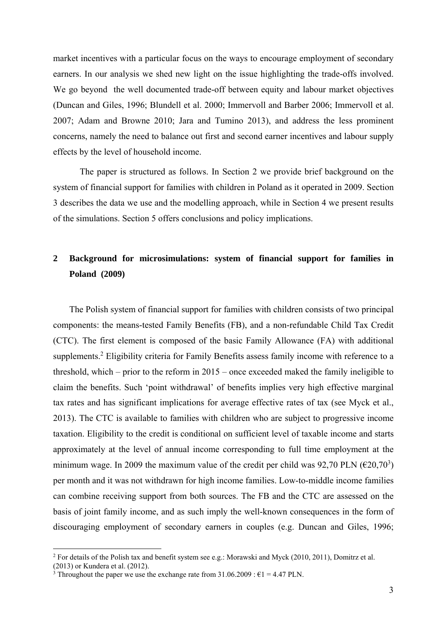market incentives with a particular focus on the ways to encourage employment of secondary earners. In our analysis we shed new light on the issue highlighting the trade-offs involved. We go beyond the well documented trade-off between equity and labour market objectives (Duncan and Giles, 1996; Blundell et al. 2000; Immervoll and Barber 2006; Immervoll et al. 2007; Adam and Browne 2010; Jara and Tumino 2013), and address the less prominent concerns, namely the need to balance out first and second earner incentives and labour supply effects by the level of household income.

The paper is structured as follows. In Section 2 we provide brief background on the system of financial support for families with children in Poland as it operated in 2009. Section 3 describes the data we use and the modelling approach, while in Section 4 we present results of the simulations. Section 5 offers conclusions and policy implications.

## **2 Background for microsimulations: system of financial support for families in Poland (2009)**

The Polish system of financial support for families with children consists of two principal components: the means-tested Family Benefits (FB), and a non-refundable Child Tax Credit (CTC). The first element is composed of the basic Family Allowance (FA) with additional supplements.<sup>2</sup> Eligibility criteria for Family Benefits assess family income with reference to a threshold, which – prior to the reform in 2015 – once exceeded maked the family ineligible to claim the benefits. Such 'point withdrawal' of benefits implies very high effective marginal tax rates and has significant implications for average effective rates of tax (see Myck et al., 2013). The CTC is available to families with children who are subject to progressive income taxation. Eligibility to the credit is conditional on sufficient level of taxable income and starts approximately at the level of annual income corresponding to full time employment at the minimum wage. In 2009 the maximum value of the credit per child was 92,70 PLN ( $\epsilon$ 20,70<sup>3</sup>) per month and it was not withdrawn for high income families. Low-to-middle income families can combine receiving support from both sources. The FB and the CTC are assessed on the basis of joint family income, and as such imply the well-known consequences in the form of discouraging employment of secondary earners in couples (e.g. Duncan and Giles, 1996;

1

<sup>&</sup>lt;sup>2</sup> For details of the Polish tax and benefit system see e.g.: Morawski and Myck (2010, 2011), Domitrz et al.

<sup>(2013)</sup> or Kundera et al. (2012).

<sup>&</sup>lt;sup>3</sup> Throughout the paper we use the exchange rate from  $31.06.2009 : \text{\textsterling}1 = 4.47 \text{ PLN}$ .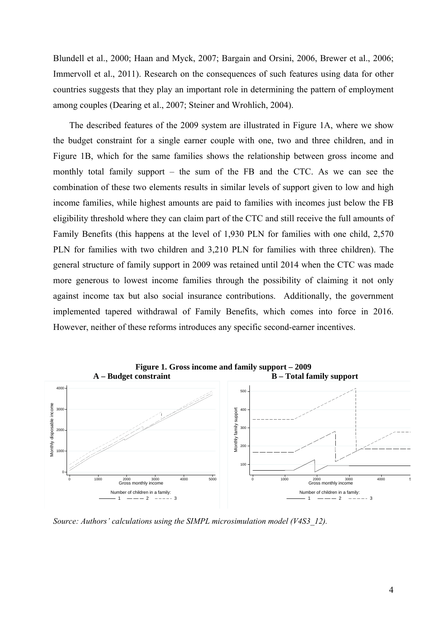Blundell et al., 2000; Haan and Myck, 2007; Bargain and Orsini, 2006, Brewer et al., 2006; Immervoll et al., 2011). Research on the consequences of such features using data for other countries suggests that they play an important role in determining the pattern of employment among couples (Dearing et al., 2007; Steiner and Wrohlich, 2004).

The described features of the 2009 system are illustrated in Figure 1A, where we show the budget constraint for a single earner couple with one, two and three children, and in Figure 1B, which for the same families shows the relationship between gross income and monthly total family support – the sum of the FB and the CTC. As we can see the combination of these two elements results in similar levels of support given to low and high income families, while highest amounts are paid to families with incomes just below the FB eligibility threshold where they can claim part of the CTC and still receive the full amounts of Family Benefits (this happens at the level of 1,930 PLN for families with one child, 2,570 PLN for families with two children and 3,210 PLN for families with three children). The general structure of family support in 2009 was retained until 2014 when the CTC was made more generous to lowest income families through the possibility of claiming it not only against income tax but also social insurance contributions. Additionally, the government implemented tapered withdrawal of Family Benefits, which comes into force in 2016. However, neither of these reforms introduces any specific second-earner incentives.



*Source: Authors' calculations using the SIMPL microsimulation model (V4S3\_12).*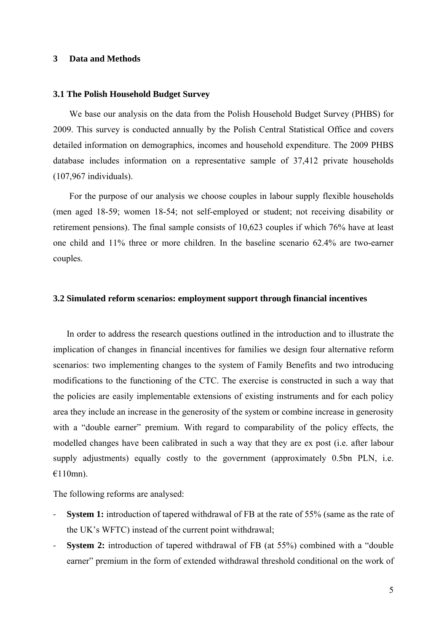#### **3 Data and Methods**

#### **3.1 The Polish Household Budget Survey**

We base our analysis on the data from the Polish Household Budget Survey (PHBS) for 2009. This survey is conducted annually by the Polish Central Statistical Office and covers detailed information on demographics, incomes and household expenditure. The 2009 PHBS database includes information on a representative sample of 37,412 private households (107,967 individuals).

For the purpose of our analysis we choose couples in labour supply flexible households (men aged 18-59; women 18-54; not self-employed or student; not receiving disability or retirement pensions). The final sample consists of 10,623 couples if which 76% have at least one child and 11% three or more children. In the baseline scenario 62.4% are two-earner couples.

#### **3.2 Simulated reform scenarios: employment support through financial incentives**

In order to address the research questions outlined in the introduction and to illustrate the implication of changes in financial incentives for families we design four alternative reform scenarios: two implementing changes to the system of Family Benefits and two introducing modifications to the functioning of the CTC. The exercise is constructed in such a way that the policies are easily implementable extensions of existing instruments and for each policy area they include an increase in the generosity of the system or combine increase in generosity with a "double earner" premium. With regard to comparability of the policy effects, the modelled changes have been calibrated in such a way that they are ex post (i.e. after labour supply adjustments) equally costly to the government (approximately 0.5bn PLN, i.e.  $€110$ mn).

The following reforms are analysed:

- **System 1:** introduction of tapered withdrawal of FB at the rate of 55% (same as the rate of the UK's WFTC) instead of the current point withdrawal;
- **System 2:** introduction of tapered withdrawal of FB (at 55%) combined with a "double earner" premium in the form of extended withdrawal threshold conditional on the work of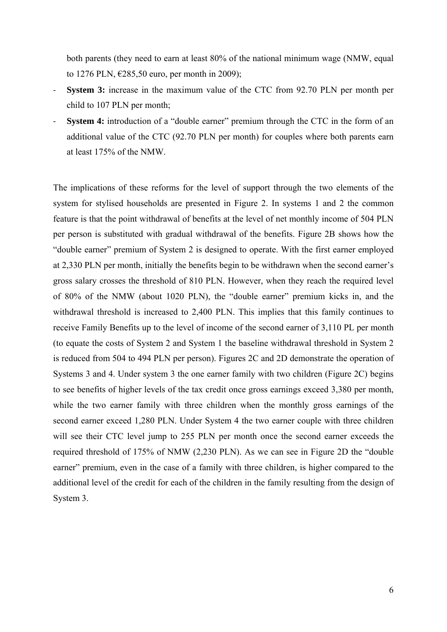both parents (they need to earn at least 80% of the national minimum wage (NMW, equal to 1276 PLN, €285,50 euro, per month in 2009);

- **System 3:** increase in the maximum value of the CTC from 92.70 PLN per month per child to 107 PLN per month;
- **System 4:** introduction of a "double earner" premium through the CTC in the form of an additional value of the CTC (92.70 PLN per month) for couples where both parents earn at least 175% of the NMW.

The implications of these reforms for the level of support through the two elements of the system for stylised households are presented in Figure 2. In systems 1 and 2 the common feature is that the point withdrawal of benefits at the level of net monthly income of 504 PLN per person is substituted with gradual withdrawal of the benefits. Figure 2B shows how the "double earner" premium of System 2 is designed to operate. With the first earner employed at 2,330 PLN per month, initially the benefits begin to be withdrawn when the second earner's gross salary crosses the threshold of 810 PLN. However, when they reach the required level of 80% of the NMW (about 1020 PLN), the "double earner" premium kicks in, and the withdrawal threshold is increased to 2,400 PLN. This implies that this family continues to receive Family Benefits up to the level of income of the second earner of 3,110 PL per month (to equate the costs of System 2 and System 1 the baseline withdrawal threshold in System 2 is reduced from 504 to 494 PLN per person). Figures 2C and 2D demonstrate the operation of Systems 3 and 4. Under system 3 the one earner family with two children (Figure 2C) begins to see benefits of higher levels of the tax credit once gross earnings exceed 3,380 per month, while the two earner family with three children when the monthly gross earnings of the second earner exceed 1,280 PLN. Under System 4 the two earner couple with three children will see their CTC level jump to 255 PLN per month once the second earner exceeds the required threshold of 175% of NMW (2,230 PLN). As we can see in Figure 2D the "double earner" premium, even in the case of a family with three children, is higher compared to the additional level of the credit for each of the children in the family resulting from the design of System 3.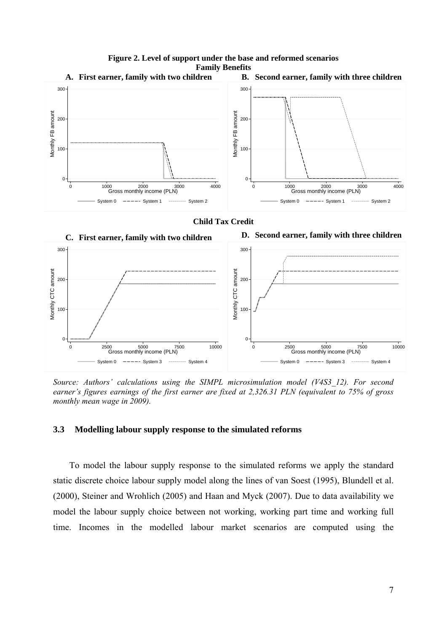

# **Figure 2. Level of support under the base and reformed scenarios**





*Source: Authors' calculations using the SIMPL microsimulation model (V4S3\_12). For second earner's figures earnings of the first earner are fixed at 2,326.31 PLN (equivalent to 75% of gross monthly mean wage in 2009).* 

#### **3.3 Modelling labour supply response to the simulated reforms**

To model the labour supply response to the simulated reforms we apply the standard static discrete choice labour supply model along the lines of van Soest (1995), Blundell et al. (2000), Steiner and Wrohlich (2005) and Haan and Myck (2007). Due to data availability we model the labour supply choice between not working, working part time and working full time. Incomes in the modelled labour market scenarios are computed using the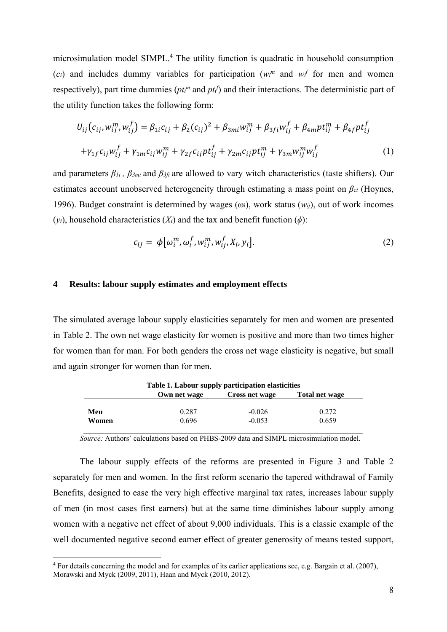microsimulation model SIMPL.<sup>4</sup> The utility function is quadratic in household consumption  $(c_i)$  and includes dummy variables for participation ( $w_i^m$  and  $w_i^f$  for men and women respectively), part time dummies ( $pt<sup>m</sup>$  and  $pt<sup>f</sup>$ ) and their interactions. The deterministic part of the utility function takes the following form:

$$
U_{ij}(c_{ij}, w_{ij}^m, w_{ij}^f) = \beta_{1i}c_{ij} + \beta_{2}(c_{ij})^2 + \beta_{3mi}w_{ij}^m + \beta_{3fi}w_{ij}^f + \beta_{4m}pt_{ij}^m + \beta_{4f}pt_{ij}^f
$$
  
+ $\gamma_{1f}c_{ij}w_{ij}^f + \gamma_{1m}c_{ij}w_{ij}^m + \gamma_{2f}c_{ij}pt_{ij}^f + \gamma_{2m}c_{ij}pt_{ij}^m + \gamma_{3m}w_{ij}^m w_{ij}^f$  (1)

and parameters  $\beta_{1i}$ ,  $\beta_{3mi}$  and  $\beta_{3fi}$  are allowed to vary witch characteristics (taste shifters). Our estimates account unobserved heterogeneity through estimating a mass point on *βci* (Hoynes, 1996). Budget constraint is determined by wages (ωi), work status (*wij*), out of work incomes  $(y_i)$ , household characteristics  $(X_i)$  and the tax and benefit function  $(\phi)$ :

$$
c_{ij} = \phi\big[\omega_i^m, \omega_i^f, w_{ij}^m, w_{ij}^f, X_i, y_i\big].\tag{2}
$$

#### **4 Results: labour supply estimates and employment effects**

The simulated average labour supply elasticities separately for men and women are presented in Table 2. The own net wage elasticity for women is positive and more than two times higher for women than for man. For both genders the cross net wage elasticity is negative, but small and again stronger for women than for men.

| Table 1. Labour supply participation elasticities |                |                       |                |  |  |
|---------------------------------------------------|----------------|-----------------------|----------------|--|--|
|                                                   | Own net wage   | <b>Cross net wage</b> | Total net wage |  |  |
| Men<br>Women                                      | 0.287<br>0.696 | $-0.026$<br>$-0.053$  | 0.272<br>0.659 |  |  |

*Source:* Authors' calculations based on PHBS-2009 data and SIMPL microsimulation model.

The labour supply effects of the reforms are presented in Figure 3 and Table 2 separately for men and women. In the first reform scenario the tapered withdrawal of Family Benefits, designed to ease the very high effective marginal tax rates, increases labour supply of men (in most cases first earners) but at the same time diminishes labour supply among women with a negative net effect of about 9,000 individuals. This is a classic example of the well documented negative second earner effect of greater generosity of means tested support,

1

<sup>&</sup>lt;sup>4</sup> For details concerning the model and for examples of its earlier applications see, e.g. Bargain et al. (2007), Morawski and Myck (2009, 2011), Haan and Myck (2010, 2012).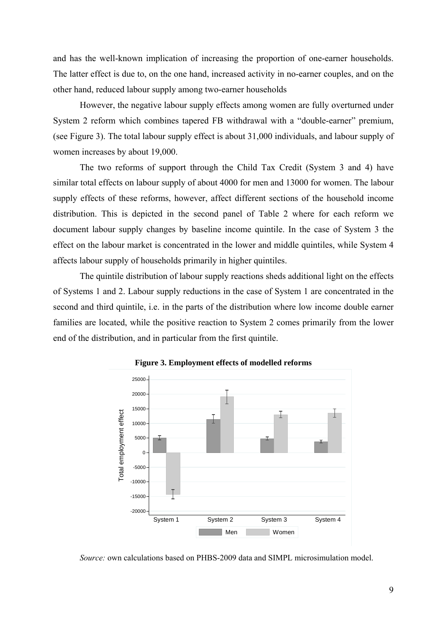and has the well-known implication of increasing the proportion of one-earner households. The latter effect is due to, on the one hand, increased activity in no-earner couples, and on the other hand, reduced labour supply among two-earner households

However, the negative labour supply effects among women are fully overturned under System 2 reform which combines tapered FB withdrawal with a "double-earner" premium, (see Figure 3). The total labour supply effect is about 31,000 individuals, and labour supply of women increases by about 19,000.

The two reforms of support through the Child Tax Credit (System 3 and 4) have similar total effects on labour supply of about 4000 for men and 13000 for women. The labour supply effects of these reforms, however, affect different sections of the household income distribution. This is depicted in the second panel of Table 2 where for each reform we document labour supply changes by baseline income quintile. In the case of System 3 the effect on the labour market is concentrated in the lower and middle quintiles, while System 4 affects labour supply of households primarily in higher quintiles.

The quintile distribution of labour supply reactions sheds additional light on the effects of Systems 1 and 2. Labour supply reductions in the case of System 1 are concentrated in the second and third quintile, i.e. in the parts of the distribution where low income double earner families are located, while the positive reaction to System 2 comes primarily from the lower end of the distribution, and in particular from the first quintile.





*Source:* own calculations based on PHBS-2009 data and SIMPL microsimulation model.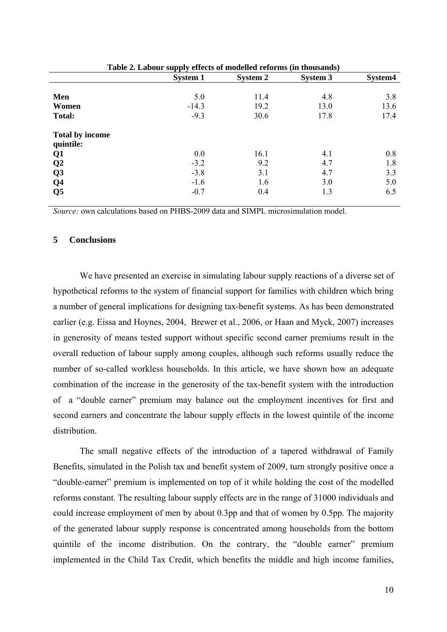|                                     | Table 2. Labour supply effects of inodency reforms (in thousands) |                 |                 |         |  |
|-------------------------------------|-------------------------------------------------------------------|-----------------|-----------------|---------|--|
|                                     | <b>System 1</b>                                                   | <b>System 2</b> | <b>System 3</b> | System4 |  |
|                                     |                                                                   |                 |                 |         |  |
| Men                                 | 5.0                                                               | 11.4            | 4.8             | 3.8     |  |
| Women                               | $-14.3$                                                           | 19.2            | 13.0            | 13.6    |  |
| <b>Total:</b>                       | $-9.3$                                                            | 30.6            | 17.8            | 17.4    |  |
| <b>Total by income</b><br>quintile: |                                                                   |                 |                 |         |  |
|                                     |                                                                   |                 |                 |         |  |
| Q1                                  | 0.0                                                               | 16.1            | 4.1             | 0.8     |  |
| Q <sub>2</sub>                      | $-3.2$                                                            | 9.2             | 4.7             | 1.8     |  |
| Q <sub>3</sub>                      | $-3.8$                                                            | 3.1             | 4.7             | 3.3     |  |
| Q <sub>4</sub>                      | $-1.6$                                                            | 1.6             | 3.0             | 5.0     |  |
| Q <sub>5</sub>                      | $-0.7$                                                            | 0.4             | 1.3             | 6.5     |  |
|                                     |                                                                   |                 |                 |         |  |

**Table 2. Labour supply effects of modelled reforms (in thousands)** 

*Source:* own calculations based on PHBS-2009 data and SIMPL microsimulation model.

#### **5 Conclusions**

We have presented an exercise in simulating labour supply reactions of a diverse set of hypothetical reforms to the system of financial support for families with children which bring a number of general implications for designing tax-benefit systems. As has been demonstrated earlier (e.g. Eissa and Hoynes, 2004, Brewer et al., 2006, or Haan and Myck, 2007) increases in generosity of means tested support without specific second earner premiums result in the overall reduction of labour supply among couples, although such reforms usually reduce the number of so-called workless households. In this article, we have shown how an adequate combination of the increase in the generosity of the tax-benefit system with the introduction of a "double earner" premium may balance out the employment incentives for first and second earners and concentrate the labour supply effects in the lowest quintile of the income distribution.

The small negative effects of the introduction of a tapered withdrawal of Family Benefits, simulated in the Polish tax and benefit system of 2009, turn strongly positive once a "double-earner" premium is implemented on top of it while holding the cost of the modelled reforms constant. The resulting labour supply effects are in the range of 31000 individuals and could increase employment of men by about 0.3pp and that of women by 0.5pp. The majority of the generated labour supply response is concentrated among households from the bottom quintile of the income distribution. On the contrary, the "double earner" premium implemented in the Child Tax Credit, which benefits the middle and high income families,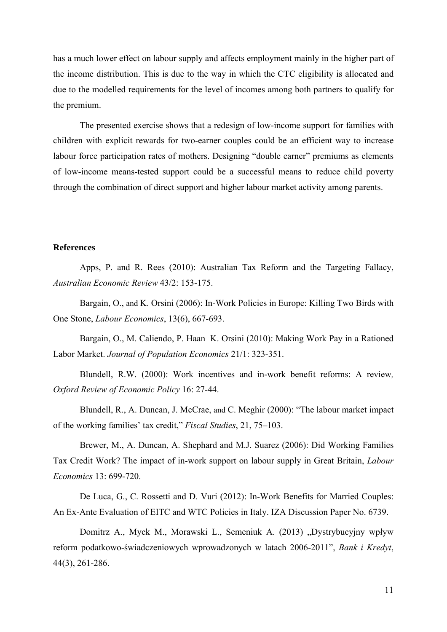has a much lower effect on labour supply and affects employment mainly in the higher part of the income distribution. This is due to the way in which the CTC eligibility is allocated and due to the modelled requirements for the level of incomes among both partners to qualify for the premium.

The presented exercise shows that a redesign of low-income support for families with children with explicit rewards for two-earner couples could be an efficient way to increase labour force participation rates of mothers. Designing "double earner" premiums as elements of low-income means-tested support could be a successful means to reduce child poverty through the combination of direct support and higher labour market activity among parents.

#### **References**

Apps, P. and R. Rees (2010): Australian Tax Reform and the Targeting Fallacy, *Australian Economic Review* 43/2: 153-175.

Bargain, O., and K. Orsini (2006): In-Work Policies in Europe: Killing Two Birds with One Stone, *Labour Economics*, 13(6), 667-693.

Bargain, O., M. Caliendo, P. Haan K. Orsini (2010): Making Work Pay in a Rationed Labor Market. *Journal of Population Economics* 21/1: 323-351.

Blundell, R.W. (2000): Work incentives and in-work benefit reforms: A review*, Oxford Review of Economic Policy* 16: 27-44.

Blundell, R., A. Duncan, J. McCrae, and C. Meghir (2000): "The labour market impact of the working families' tax credit," *Fiscal Studies*, 21, 75–103.

Brewer, M., A. Duncan, A. Shephard and M.J. Suarez (2006): Did Working Families Tax Credit Work? The impact of in-work support on labour supply in Great Britain, *Labour Economics* 13: 699-720.

De Luca, G., C. Rossetti and D. Vuri (2012): In-Work Benefits for Married Couples: An Ex-Ante Evaluation of EITC and WTC Policies in Italy. IZA Discussion Paper No. 6739.

Domitrz A., Myck M., Morawski L., Semeniuk A. (2013) "Dystrybucyjny wpływ reform podatkowo-świadczeniowych wprowadzonych w latach 2006-2011", *Bank i Kredyt*, 44(3), 261-286.